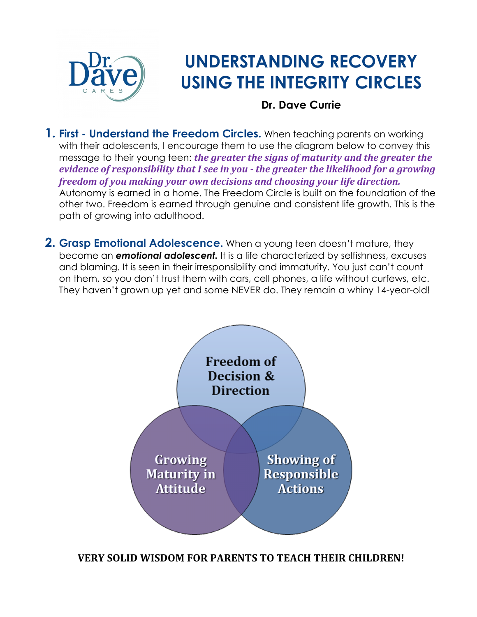

# **UNDERSTANDING RECOVERY USING THE INTEGRITY CIRCLES**

#### **Dr. Dave Currie**

**1. First - Understand the Freedom Circles.** When teaching parents on working with their adolescents, I encourage them to use the diagram below to convey this message to their young teen: *the greater the signs of maturity and the greater the evidence of responsibility that I see in you - the greater the likelihood for a growing freedom of you making your own decisions and choosing your life direction.* Autonomy is earned in a home. The Freedom Circle is built on the foundation of the other two. Freedom is earned through genuine and consistent life growth. This is the path of growing into adulthood.

**2. Grasp Emotional Adolescence.** When a young teen doesn't mature, they become an *emotional adolescent.* It is a life characterized by selfishness, excuses and blaming. It is seen in their irresponsibility and immaturity. You just can't count on them, so you don't trust them with cars, cell phones, a life without curfews, etc. They haven't grown up yet and some NEVER do. They remain a whiny 14-year-old!



**VERY SOLID WISDOM FOR PARENTS TO TEACH THEIR CHILDREN!**